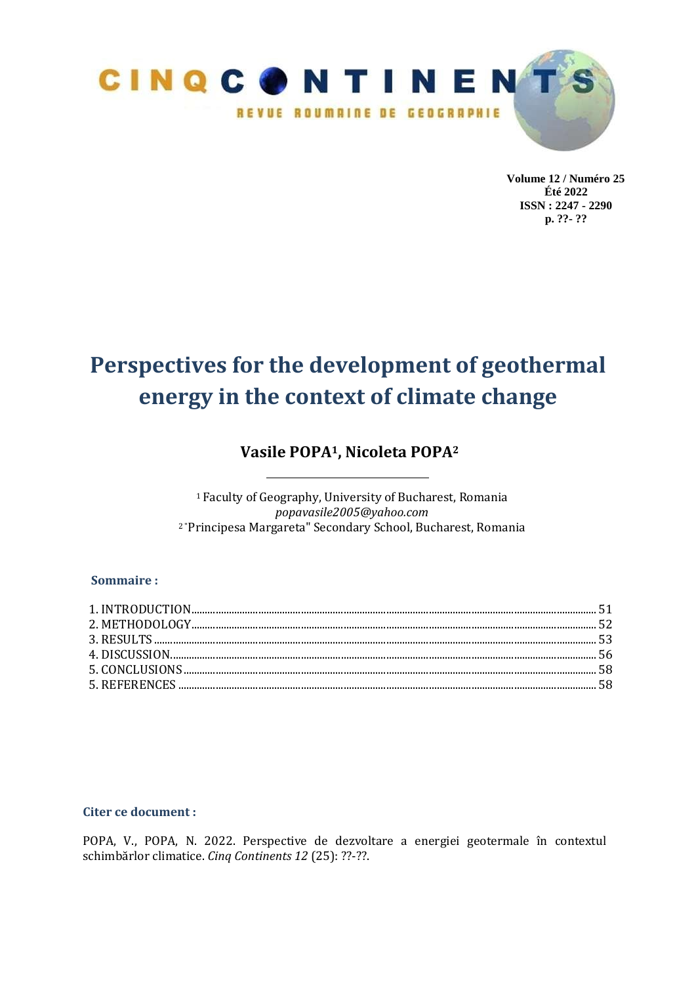

**Volume 12 / Numéro 25 Été 2022 ISSN : 2247 - 2290 p. ??- ??**

# **Perspectives for the development of geothermal energy in the context of climate change**

# **Vasile POPA1, Nicoleta POPA<sup>2</sup>**

<sup>1</sup>Faculty of Geography, University of Bucharest, Romania *popavasile2005@yahoo.com* 2 "Principesa Margareta" Secondary School, Bucharest, Romania

# **Sommaire :**

| $1. INTRODUCTION 1.1011 1.0121 1.0131 1.0141 1.0151 1.0161 1.0171 1.0171 1.0171 1.0171 1.0171 1.0171 1.0171 1.0171 1.0171 1.0171 1.0171 1.0171 1.0171 1.0171 1.0171 1.0171 1.0171 1.0171 1.0171 1.0171 1.0171 1.0171 1.0171 1.0171 1.017$ |  |
|-------------------------------------------------------------------------------------------------------------------------------------------------------------------------------------------------------------------------------------------|--|
|                                                                                                                                                                                                                                           |  |
|                                                                                                                                                                                                                                           |  |
|                                                                                                                                                                                                                                           |  |
|                                                                                                                                                                                                                                           |  |
|                                                                                                                                                                                                                                           |  |
|                                                                                                                                                                                                                                           |  |

# **Citer ce document :**

POPA, V., POPA, N. 2022. Perspective de dezvoltare a energiei geotermale în contextul schimbărlor climatice. *Cinq Continents 12* (25): ??-??.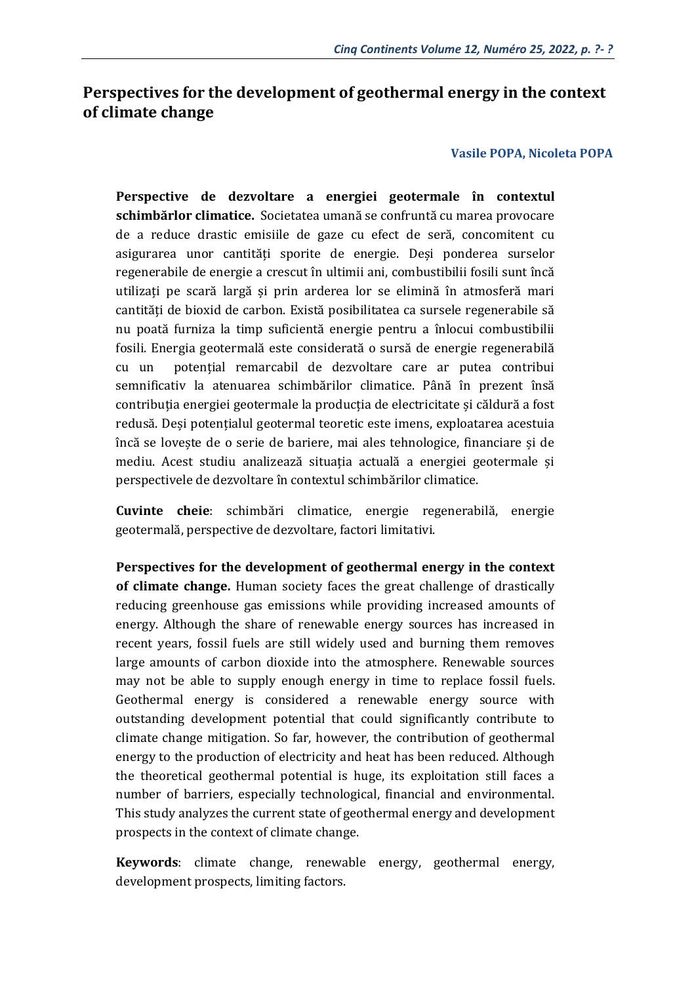# **Perspectives for the development of geothermal energy in the context of climate change**

## **Vasile POPA, Nicoleta POPA**

**Perspective de dezvoltare a energiei geotermale în contextul schimbărlor climatice.** Societatea umană se confruntă cu marea provocare de a reduce drastic emisiile de gaze cu efect de seră, concomitent cu asigurarea unor cantități sporite de energie. Deși ponderea surselor regenerabile de energie a crescut în ultimii ani, combustibilii fosili sunt încă utilizați pe scară largă și prin arderea lor se elimină în atmosferă mari cantități de bioxid de carbon. Există posibilitatea ca sursele regenerabile să nu poată furniza la timp suficientă energie pentru a înlocui combustibilii fosili. Energia geotermală este considerată o sursă de energie regenerabilă cu un potențial remarcabil de dezvoltare care ar putea contribui semnificativ la atenuarea schimbărilor climatice. Până în prezent însă contribuția energiei geotermale la producția de electricitate și căldură a fost redusă. Deși potențialul geotermal teoretic este imens, exploatarea acestuia încă se lovește de o serie de bariere, mai ales tehnologice, financiare și de mediu. Acest studiu analizează situația actuală a energiei geotermale și perspectivele de dezvoltare în contextul schimbărilor climatice.

**Cuvinte cheie**: schimbări climatice, energie regenerabilă, energie geotermală, perspective de dezvoltare, factori limitativi.

**Perspectives for the development of geothermal energy in the context of climate change.** Human society faces the great challenge of drastically reducing greenhouse gas emissions while providing increased amounts of energy. Although the share of renewable energy sources has increased in recent years, fossil fuels are still widely used and burning them removes large amounts of carbon dioxide into the atmosphere. Renewable sources may not be able to supply enough energy in time to replace fossil fuels. Geothermal energy is considered a renewable energy source with outstanding development potential that could significantly contribute to climate change mitigation. So far, however, the contribution of geothermal energy to the production of electricity and heat has been reduced. Although the theoretical geothermal potential is huge, its exploitation still faces a number of barriers, especially technological, financial and environmental. This study analyzes the current state of geothermal energy and development prospects in the context of climate change.

**Keywords**: climate change, renewable energy, geothermal energy, development prospects, limiting factors.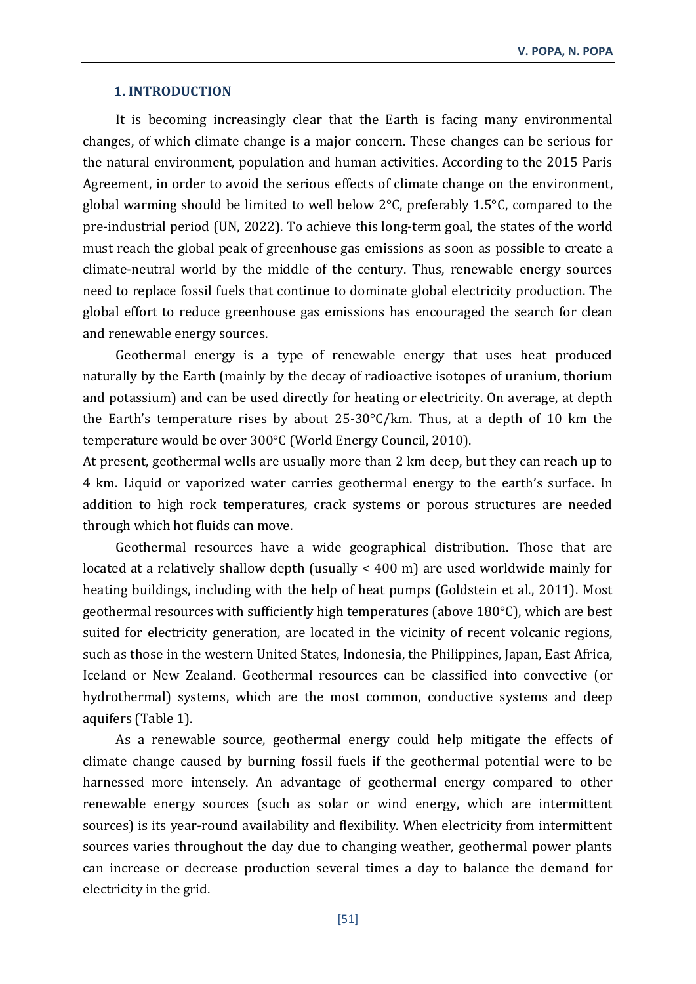#### **1. INTRODUCTION**

It is becoming increasingly clear that the Earth is facing many environmental changes, of which climate change is a major concern. These changes can be serious for the natural environment, population and human activities. According to the 2015 Paris Agreement, in order to avoid the serious effects of climate change on the environment, global warming should be limited to well below 2°C, preferably 1.5°C, compared to the pre-industrial period (UN, 2022). To achieve this long-term goal, the states of the world must reach the global peak of greenhouse gas emissions as soon as possible to create a climate-neutral world by the middle of the century. Thus, renewable energy sources need to replace fossil fuels that continue to dominate global electricity production. The global effort to reduce greenhouse gas emissions has encouraged the search for clean and renewable energy sources.

Geothermal energy is a type of renewable energy that uses heat produced naturally by the Earth (mainly by the decay of radioactive isotopes of uranium, thorium and potassium) and can be used directly for heating or electricity. On average, at depth the Earth's temperature rises by about 25-30°C/km. Thus, at a depth of 10 km the temperature would be over 300°C (World Energy Council, 2010).

At present, geothermal wells are usually more than 2 km deep, but they can reach up to 4 km. Liquid or vaporized water carries geothermal energy to the earth's surface. In addition to high rock temperatures, crack systems or porous structures are needed through which hot fluids can move.

Geothermal resources have a wide geographical distribution. Those that are located at a relatively shallow depth (usually < 400 m) are used worldwide mainly for heating buildings, including with the help of heat pumps (Goldstein et al., 2011). Most geothermal resources with sufficiently high temperatures (above 180°C), which are best suited for electricity generation, are located in the vicinity of recent volcanic regions, such as those in the western United States, Indonesia, the Philippines, Japan, East Africa, Iceland or New Zealand. Geothermal resources can be classified into convective (or hydrothermal) systems, which are the most common, conductive systems and deep aquifers (Table 1).

As a renewable source, geothermal energy could help mitigate the effects of climate change caused by burning fossil fuels if the geothermal potential were to be harnessed more intensely. An advantage of geothermal energy compared to other renewable energy sources (such as solar or wind energy, which are intermittent sources) is its year-round availability and flexibility. When electricity from intermittent sources varies throughout the day due to changing weather, geothermal power plants can increase or decrease production several times a day to balance the demand for electricity in the grid.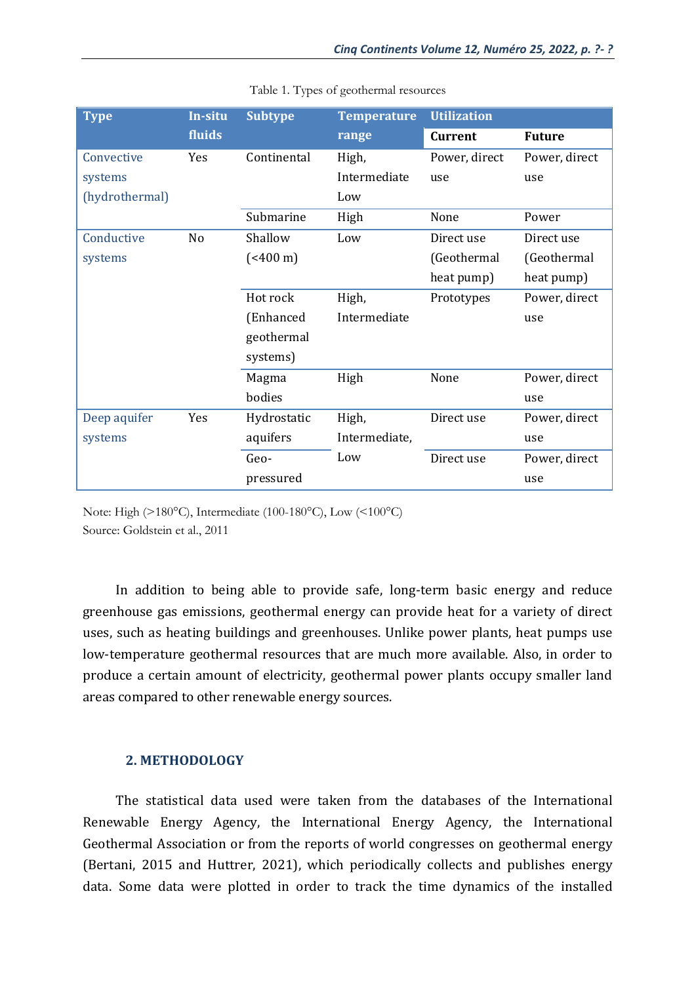| <b>Type</b>    | In-situ        | <b>Subtype</b>       | <b>Temperature</b> | <b>Utilization</b> |               |
|----------------|----------------|----------------------|--------------------|--------------------|---------------|
|                | fluids         |                      | range              | <b>Current</b>     | <b>Future</b> |
| Convective     | Yes            | Continental          | High,              | Power, direct      | Power, direct |
| systems        |                |                      | Intermediate       | use                | use           |
| (hydrothermal) |                |                      | Low                |                    |               |
|                |                | Submarine            | High               | None               | Power         |
| Conductive     | N <sub>o</sub> | Shallow              | Low                | Direct use         | Direct use    |
| systems        |                | $({<}400 \text{ m})$ |                    | (Geothermal        | (Geothermal   |
|                |                |                      |                    | heat pump)         | heat pump)    |
|                |                | Hot rock             | High,              | Prototypes         | Power, direct |
|                |                | (Enhanced            | Intermediate       |                    | use           |
|                |                | geothermal           |                    |                    |               |
|                |                | systems)             |                    |                    |               |
|                |                | Magma                | High               | None               | Power, direct |
|                |                | bodies               |                    |                    | use           |
| Deep aquifer   | Yes            | Hydrostatic          | High,              | Direct use         | Power, direct |
| systems        |                | aquifers             | Intermediate,      |                    | use           |
|                |                | Geo-                 | Low                | Direct use         | Power, direct |
|                |                | pressured            |                    |                    | use           |

|  |  | Table 1. Types of geothermal resources |
|--|--|----------------------------------------|
|  |  |                                        |

Note: High (>180°C), Intermediate (100-180°C), Low (<100°C) Source: Goldstein et al., 2011

In addition to being able to provide safe, long-term basic energy and reduce greenhouse gas emissions, geothermal energy can provide heat for a variety of direct uses, such as heating buildings and greenhouses. Unlike power plants, heat pumps use low-temperature geothermal resources that are much more available. Also, in order to produce a certain amount of electricity, geothermal power plants occupy smaller land areas compared to other renewable energy sources.

# **2. METHODOLOGY**

The statistical data used were taken from the databases of the International Renewable Energy Agency, the International Energy Agency, the International Geothermal Association or from the reports of world congresses on geothermal energy (Bertani, 2015 and Huttrer, 2021), which periodically collects and publishes energy data. Some data were plotted in order to track the time dynamics of the installed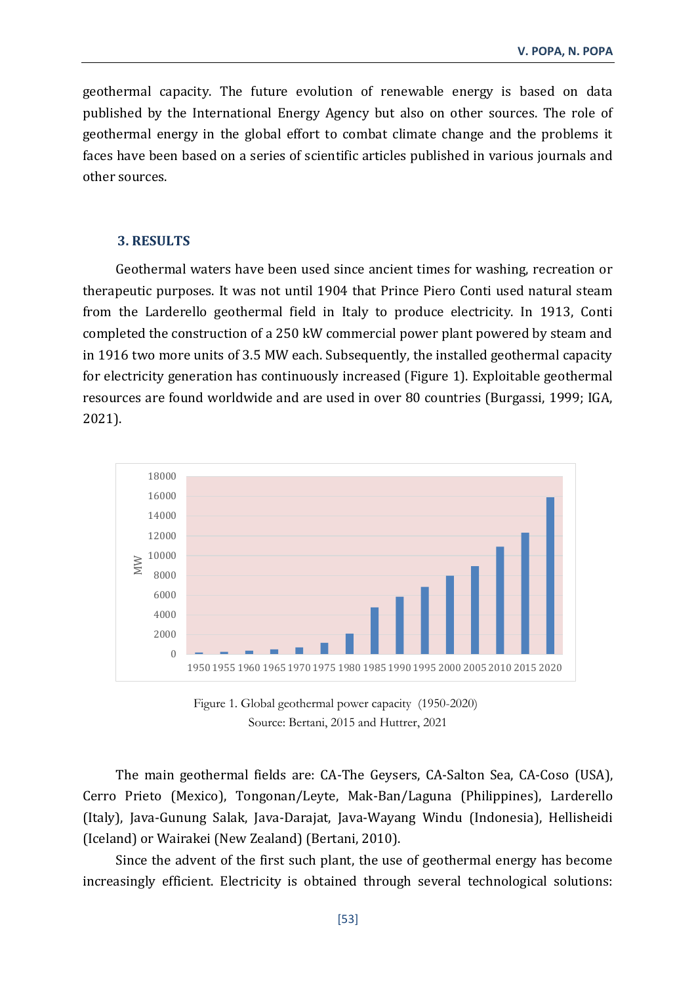geothermal capacity. The future evolution of renewable energy is based on data published by the International Energy Agency but also on other sources. The role of geothermal energy in the global effort to combat climate change and the problems it faces have been based on a series of scientific articles published in various journals and other sources.

# **3. RESULTS**

Geothermal waters have been used since ancient times for washing, recreation or therapeutic purposes. It was not until 1904 that Prince Piero Conti used natural steam from the Larderello geothermal field in Italy to produce electricity. In 1913, Conti completed the construction of a 250 kW commercial power plant powered by steam and in 1916 two more units of 3.5 MW each. Subsequently, the installed geothermal capacity for electricity generation has continuously increased (Figure 1). Exploitable geothermal resources are found worldwide and are used in over 80 countries (Burgassi, 1999; IGA, 2021).



Figure 1. Global geothermal power capacity (1950-2020) Source: Bertani, 2015 and Huttrer, 2021

The main geothermal fields are: CA-The Geysers, CA-Salton Sea, CA-Coso (USA), Cerro Prieto (Mexico), Tongonan/Leyte, Mak-Ban/Laguna (Philippines), Larderello (Italy), Java-Gunung Salak, Java-Darajat, Java-Wayang Windu (Indonesia), Hellisheidi (Iceland) or Wairakei (New Zealand) (Bertani, 2010).

Since the advent of the first such plant, the use of geothermal energy has become increasingly efficient. Electricity is obtained through several technological solutions: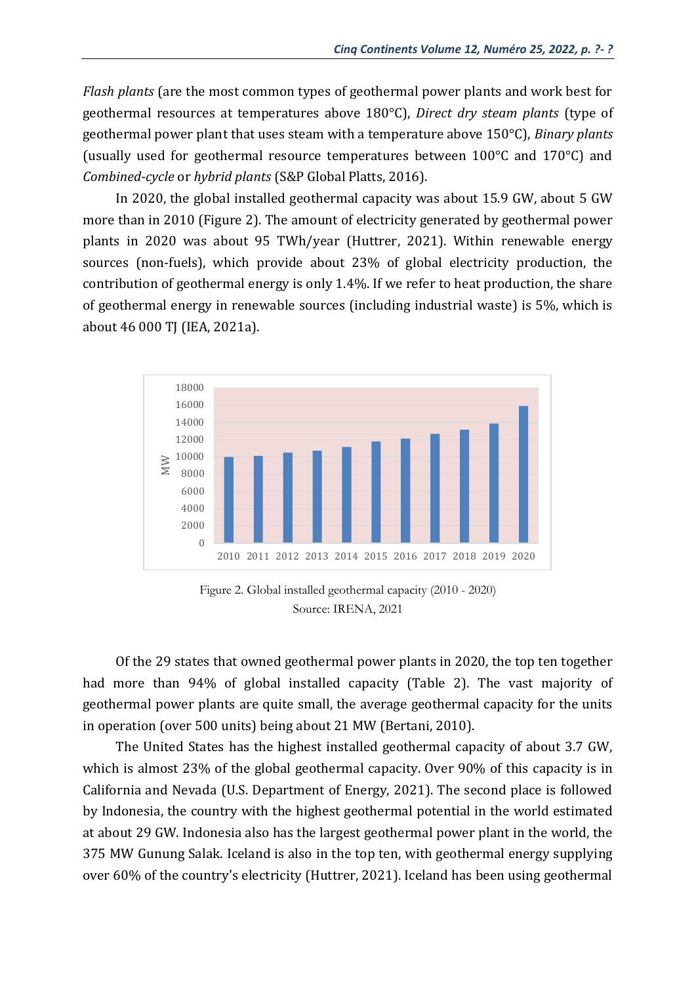*Flash plants* (are the most common types of geothermal power plants and work best for geothermal resources at temperatures above 180°C), *Direct dry steam plants* (type of geothermal power plant that uses steam with a temperature above 150°C), *Binary plants* (usually used for geothermal resource temperatures between 100°C and 170°C) and *Combined-cycle* or *hybrid plants* (S&P Global Platts, 2016).

In 2020, the global installed geothermal capacity was about 15.9 GW, about 5 GW more than in 2010 (Figure 2). The amount of electricity generated by geothermal power plants in 2020 was about 95 TWh/year (Huttrer, 2021). Within renewable energy sources (non-fuels), which provide about 23% of global electricity production, the contribution of geothermal energy is only 1.4%. If we refer to heat production, the share of geothermal energy in renewable sources (including industrial waste) is 5%, which is about 46 000 TJ (IEA, 2021a).



Figure 2. Global installed geothermal capacity (2010 - 2020) Source: IRENA, 2021

Of the 29 states that owned geothermal power plants in 2020, the top ten together had more than 94% of global installed capacity (Table 2). The vast majority of geothermal power plants are quite small, the average geothermal capacity for the units in operation (over 500 units) being about 21 MW (Bertani, 2010).

The United States has the highest installed geothermal capacity of about 3.7 GW, which is almost 23% of the global geothermal capacity. Over 90% of this capacity is in California and Nevada (U.S. Department of Energy, 2021). The second place is followed by Indonesia, the country with the highest geothermal potential in the world estimated at about 29 GW. Indonesia also has the largest geothermal power plant in the world, the 375 MW Gunung Salak. Iceland is also in the top ten, with geothermal energy supplying over 60% of the country's electricity (Huttrer, 2021). Iceland has been using geothermal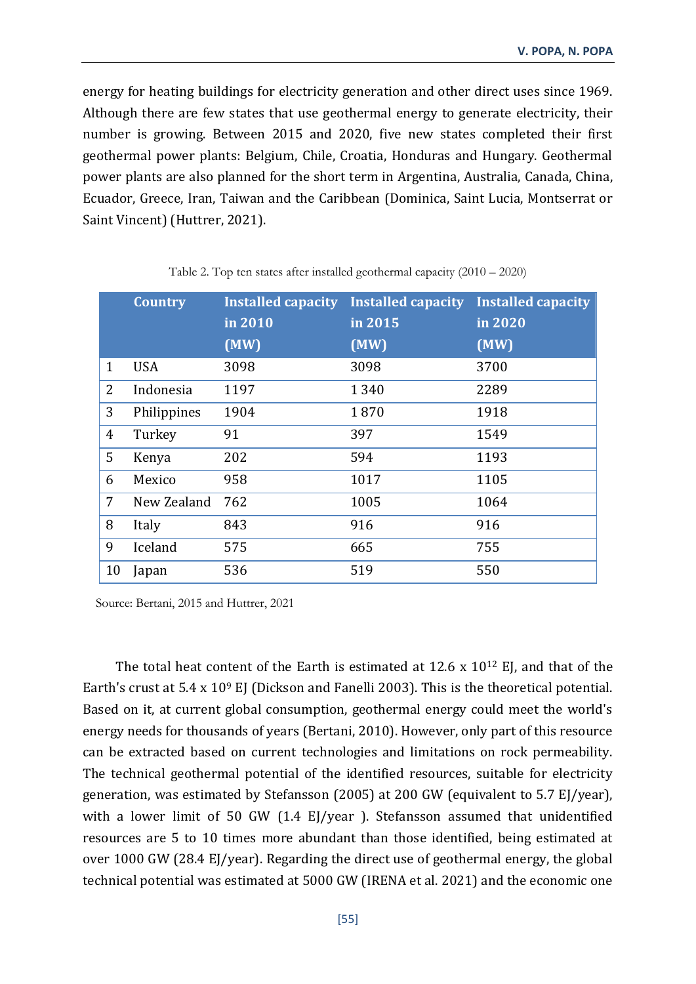energy for heating buildings for electricity generation and other direct uses since 1969. Although there are few states that use geothermal energy to generate electricity, their number is growing. Between 2015 and 2020, five new states completed their first geothermal power plants: Belgium, Chile, Croatia, Honduras and Hungary. Geothermal power plants are also planned for the short term in Argentina, Australia, Canada, China, Ecuador, Greece, Iran, Taiwan and the Caribbean (Dominica, Saint Lucia, Montserrat or Saint Vincent) (Huttrer, 2021).

|              | <b>Country</b> | <b>Installed capacity</b> | <b>Installed capacity</b> | <b>Installed capacity</b> |
|--------------|----------------|---------------------------|---------------------------|---------------------------|
|              |                | in 2010                   | in 2015                   | in 2020                   |
|              |                | (MW)                      | (MW)                      | (MW)                      |
| $\mathbf{1}$ | <b>USA</b>     | 3098                      | 3098                      | 3700                      |
| 2            | Indonesia      | 1197                      | 1 3 4 0                   | 2289                      |
| 3            | Philippines    | 1904                      | 1870                      | 1918                      |
| 4            | Turkey         | 91                        | 397                       | 1549                      |
| 5            | Kenya          | 202                       | 594                       | 1193                      |
| 6            | Mexico         | 958                       | 1017                      | 1105                      |
| 7            | New Zealand    | 762                       | 1005                      | 1064                      |
| 8            | Italy          | 843                       | 916                       | 916                       |
| 9            | Iceland        | 575                       | 665                       | 755                       |
| 10           | Japan          | 536                       | 519                       | 550                       |

Table 2. Top ten states after installed geothermal capacity (2010 – 2020)

Source: Bertani, 2015 and Huttrer, 2021

The total heat content of the Earth is estimated at  $12.6 \times 10^{12}$  EJ, and that of the Earth's crust at 5.4 x 10<sup>9</sup> EJ (Dickson and Fanelli 2003). This is the theoretical potential. Based on it, at current global consumption, geothermal energy could meet the world's energy needs for thousands of years (Bertani, 2010). However, only part of this resource can be extracted based on current technologies and limitations on rock permeability. The technical geothermal potential of the identified resources, suitable for electricity generation, was estimated by Stefansson (2005) at 200 GW (equivalent to 5.7 EJ/year), with a lower limit of 50 GW (1.4 EJ/year ). Stefansson assumed that unidentified resources are 5 to 10 times more abundant than those identified, being estimated at over 1000 GW (28.4 EJ/year). Regarding the direct use of geothermal energy, the global technical potential was estimated at 5000 GW (IRENA et al. 2021) and the economic one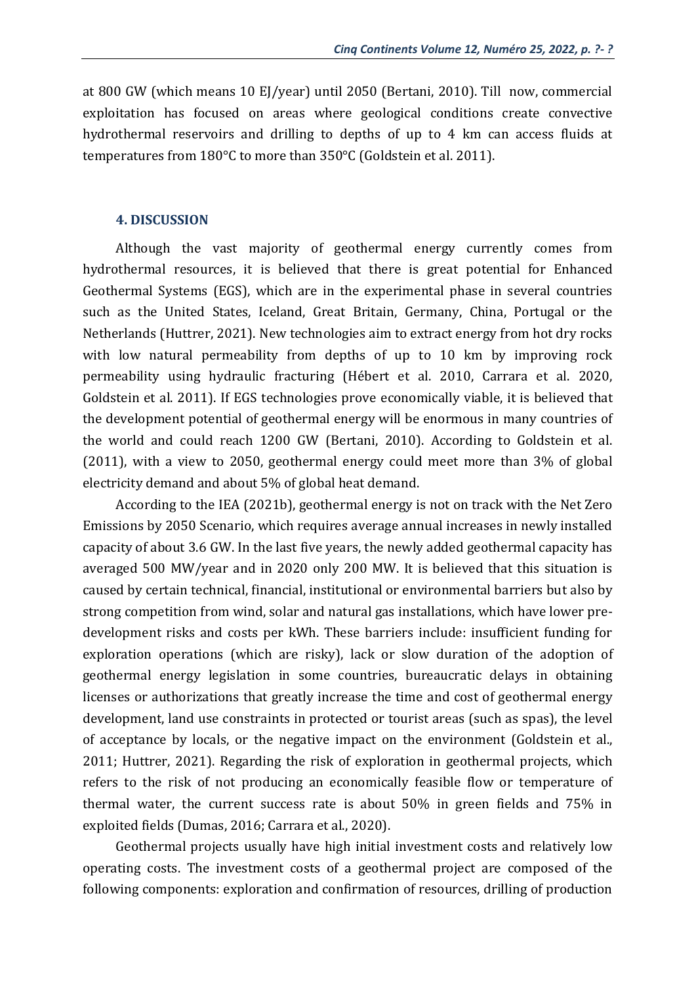at 800 GW (which means 10 EJ/year) until 2050 (Bertani, 2010). Till now, commercial exploitation has focused on areas where geological conditions create convective hydrothermal reservoirs and drilling to depths of up to 4 km can access fluids at temperatures from 180°C to more than 350°C (Goldstein et al. 2011).

#### **4. DISCUSSION**

Although the vast majority of geothermal energy currently comes from hydrothermal resources, it is believed that there is great potential for Enhanced Geothermal Systems (EGS), which are in the experimental phase in several countries such as the United States, Iceland, Great Britain, Germany, China, Portugal or the Netherlands (Huttrer, 2021). New technologies aim to extract energy from hot dry rocks with low natural permeability from depths of up to 10 km by improving rock permeability using hydraulic fracturing (Hébert et al. 2010, Carrara et al. 2020, Goldstein et al. 2011). If EGS technologies prove economically viable, it is believed that the development potential of geothermal energy will be enormous in many countries of the world and could reach 1200 GW (Bertani, 2010). According to Goldstein et al. (2011), with a view to 2050, geothermal energy could meet more than 3% of global electricity demand and about 5% of global heat demand.

According to the IEA (2021b), geothermal energy is not on track with the Net Zero Emissions by 2050 Scenario, which requires average annual increases in newly installed capacity of about 3.6 GW. In the last five years, the newly added geothermal capacity has averaged 500 MW/year and in 2020 only 200 MW. It is believed that this situation is caused by certain technical, financial, institutional or environmental barriers but also by strong competition from wind, solar and natural gas installations, which have lower predevelopment risks and costs per kWh. These barriers include: insufficient funding for exploration operations (which are risky), lack or slow duration of the adoption of geothermal energy legislation in some countries, bureaucratic delays in obtaining licenses or authorizations that greatly increase the time and cost of geothermal energy development, land use constraints in protected or tourist areas (such as spas), the level of acceptance by locals, or the negative impact on the environment (Goldstein et al., 2011; Huttrer, 2021). Regarding the risk of exploration in geothermal projects, which refers to the risk of not producing an economically feasible flow or temperature of thermal water, the current success rate is about 50% in green fields and 75% in exploited fields (Dumas, 2016; Carrara et al., 2020).

Geothermal projects usually have high initial investment costs and relatively low operating costs. The investment costs of a geothermal project are composed of the following components: exploration and confirmation of resources, drilling of production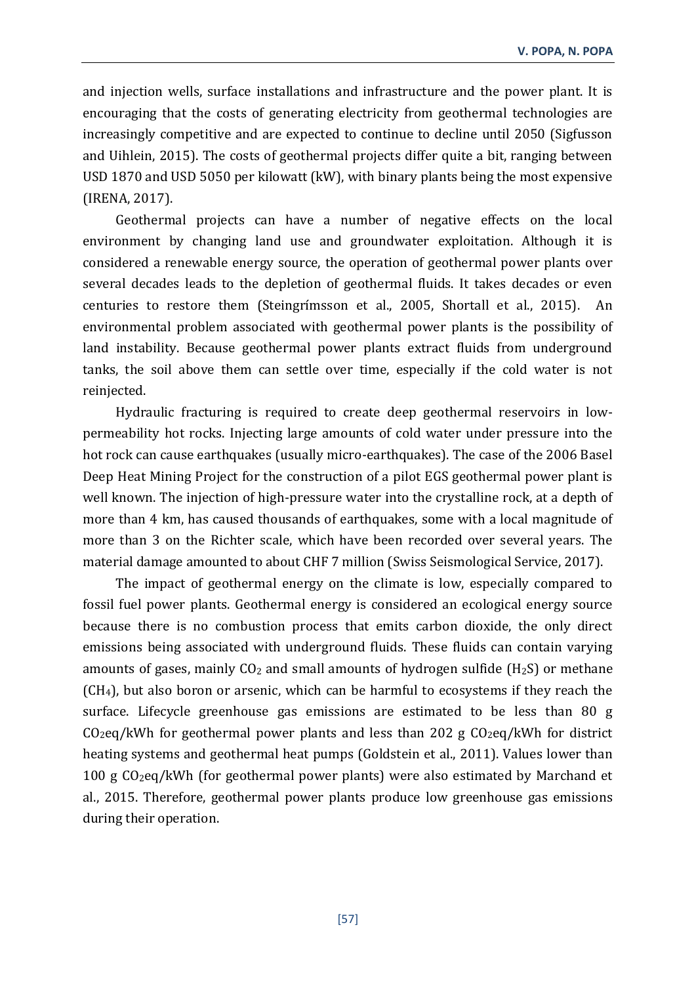and injection wells, surface installations and infrastructure and the power plant. It is encouraging that the costs of generating electricity from geothermal technologies are increasingly competitive and are expected to continue to decline until 2050 (Sigfusson and Uihlein, 2015). The costs of geothermal projects differ quite a bit, ranging between USD 1870 and USD 5050 per kilowatt (kW), with binary plants being the most expensive (IRENA, 2017).

Geothermal projects can have a number of negative effects on the local environment by changing land use and groundwater exploitation. Although it is considered a renewable energy source, the operation of geothermal power plants over several decades leads to the depletion of geothermal fluids. It takes decades or even centuries to restore them (Steingrímsson et al., 2005, Shortall et al., 2015). An environmental problem associated with geothermal power plants is the possibility of land instability. Because geothermal power plants extract fluids from underground tanks, the soil above them can settle over time, especially if the cold water is not reinjected.

Hydraulic fracturing is required to create deep geothermal reservoirs in lowpermeability hot rocks. Injecting large amounts of cold water under pressure into the hot rock can cause earthquakes (usually micro-earthquakes). The case of the 2006 Basel Deep Heat Mining Project for the construction of a pilot EGS geothermal power plant is well known. The injection of high-pressure water into the crystalline rock, at a depth of more than 4 km, has caused thousands of earthquakes, some with a local magnitude of more than 3 on the Richter scale, which have been recorded over several years. The material damage amounted to about CHF 7 million (Swiss Seismological Service, 2017).

The impact of geothermal energy on the climate is low, especially compared to fossil fuel power plants. Geothermal energy is considered an ecological energy source because there is no combustion process that emits carbon dioxide, the only direct emissions being associated with underground fluids. These fluids can contain varying amounts of gases, mainly  $CO<sub>2</sub>$  and small amounts of hydrogen sulfide (H<sub>2</sub>S) or methane (CH4), but also boron or arsenic, which can be harmful to ecosystems if they reach the surface. Lifecycle greenhouse gas emissions are estimated to be less than 80 g  $CO<sub>2</sub>eq/kWh$  for geothermal power plants and less than 202 g  $CO<sub>2</sub>eq/kWh$  for district heating systems and geothermal heat pumps (Goldstein et al., 2011). Values lower than 100 g CO2eq/kWh (for geothermal power plants) were also estimated by Marchand et al., 2015. Therefore, geothermal power plants produce low greenhouse gas emissions during their operation.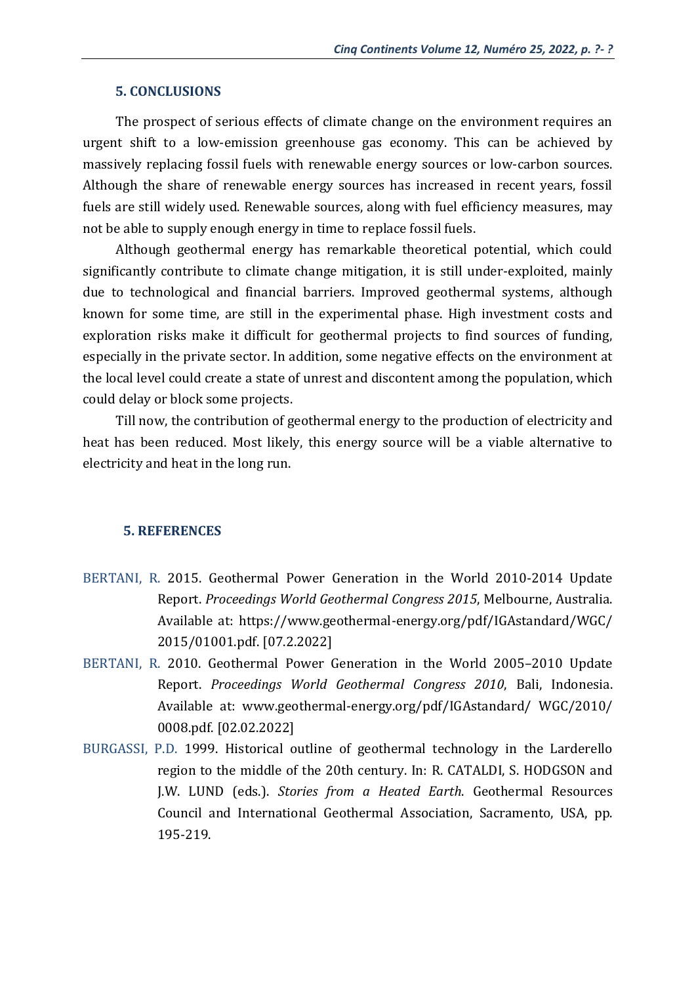## **5. CONCLUSIONS**

The prospect of serious effects of climate change on the environment requires an urgent shift to a low-emission greenhouse gas economy. This can be achieved by massively replacing fossil fuels with renewable energy sources or low-carbon sources. Although the share of renewable energy sources has increased in recent years, fossil fuels are still widely used. Renewable sources, along with fuel efficiency measures, may not be able to supply enough energy in time to replace fossil fuels.

Although geothermal energy has remarkable theoretical potential, which could significantly contribute to climate change mitigation, it is still under-exploited, mainly due to technological and financial barriers. Improved geothermal systems, although known for some time, are still in the experimental phase. High investment costs and exploration risks make it difficult for geothermal projects to find sources of funding, especially in the private sector. In addition, some negative effects on the environment at the local level could create a state of unrest and discontent among the population, which could delay or block some projects.

Till now, the contribution of geothermal energy to the production of electricity and heat has been reduced. Most likely, this energy source will be a viable alternative to electricity and heat in the long run.

# **5. REFERENCES**

- BERTANI, R. 2015. Geothermal Power Generation in the World 2010-2014 Update Report. *Proceedings World Geothermal Congress 2015*, Melbourne, Australia. Available at: https://www.geothermal-energy.org/pdf/IGAstandard/WGC/ 2015/01001.pdf. [07.2.2022]
- BERTANI, R. 2010. Geothermal Power Generation in the World 2005–2010 Update Report. *Proceedings World Geothermal Congress 2010*, Bali, Indonesia. Available at: www.geothermal-energy.org/pdf/IGAstandard/ WGC/2010/ 0008.pdf. [02.02.2022]
- BURGASSI, P.D. 1999. Historical outline of geothermal technology in the Larderello region to the middle of the 20th century. In: R. CATALDI, S. HODGSON and J.W. LUND (eds.). *Stories from a Heated Earth*. Geothermal Resources Council and International Geothermal Association, Sacramento, USA, pp. 195-219.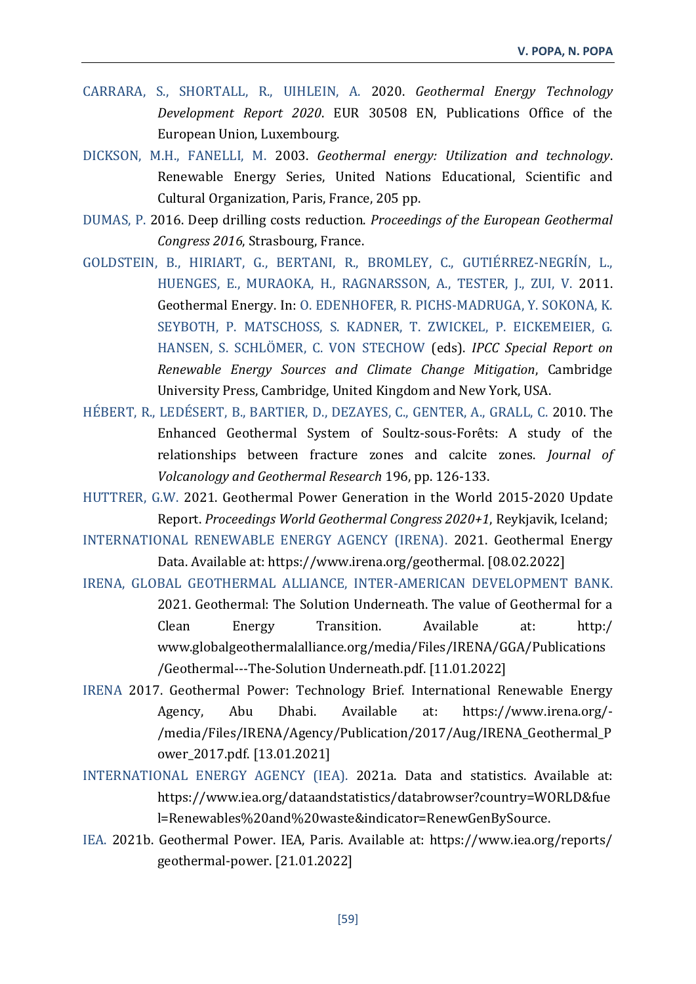- CARRARA, S., SHORTALL, R., UIHLEIN, A. 2020. *Geothermal Energy Technology Development Report 2020*. EUR 30508 EN, Publications Office of the European Union, Luxembourg.
- DICKSON, M.H., FANELLI, M. 2003. *Geothermal energy: Utilization and technology*. Renewable Energy Series, United Nations Educational, Scientific and Cultural Organization, Paris, France, 205 pp.
- DUMAS, P. 2016. Deep drilling costs reduction. *Proceedings of the European Geothermal Congress 2016*, Strasbourg, France.
- GOLDSTEIN, B., HIRIART, G., BERTANI, R., BROMLEY, C., GUTIÉRREZ‐NEGRÍN, L., HUENGES, E., MURAOKA, H., RAGNARSSON, A., TESTER, J., ZUI, V. 2011. Geothermal Energy. In: O. EDENHOFER, R. PICHS‐MADRUGA, Y. SOKONA, K. SEYBOTH, P. MATSCHOSS, S. KADNER, T. ZWICKEL, P. EICKEMEIER, G. HANSEN, S. SCHLÖMER, C. VON STECHOW (eds). *IPCC Special Report on Renewable Energy Sources and Climate Change Mitigation*, Cambridge University Press, Cambridge, United Kingdom and New York, USA.
- HÉBERT, R., LEDÉSERT, B., BARTIER, D., DEZAYES, C., GENTER, A., GRALL, C. 2010. The Enhanced Geothermal System of Soultz-sous-Forêts: A study of the relationships between fracture zones and calcite zones. *Journal of Volcanology and Geothermal Research* 196, pp. 126-133.
- HUTTRER, G.W. 2021. Geothermal Power Generation in the World 2015-2020 Update Report. *Proceedings World Geothermal Congress 2020+1*, Reykjavik, Iceland;
- INTERNATIONAL RENEWABLE ENERGY AGENCY (IRENA). 2021. Geothermal Energy Data. Available at: https://www.irena.org/geothermal. [08.02.2022]
- IRENA, GLOBAL GEOTHERMAL ALLIANCE, INTER-AMERICAN DEVELOPMENT BANK. 2021. Geothermal: The Solution Underneath. The value of Geothermal for a Clean Energy Transition. Available at: http:/ www.globalgeothermalalliance.org/media/Files/IRENA/GGA/Publications /Geothermal---The-Solution Underneath.pdf. [11.01.2022]
- IRENA 2017. Geothermal Power: Technology Brief. International Renewable Energy Agency, Abu Dhabi. Available at: https://www.irena.org/- /media/Files/IRENA/Agency/Publication/2017/Aug/IRENA\_Geothermal\_P ower\_2017.pdf. [13.01.2021]
- INTERNATIONAL ENERGY AGENCY (IEA). 2021a. Data and statistics. Available at: https://www.iea.org/dataandstatistics/databrowser?country=WORLD&fue l=Renewables%20and%20waste&indicator=RenewGenBySource.
- IEA. 2021b. Geothermal Power. IEA, Paris. Available at: https://www.iea.org/reports/ geothermal-power. [21.01.2022]